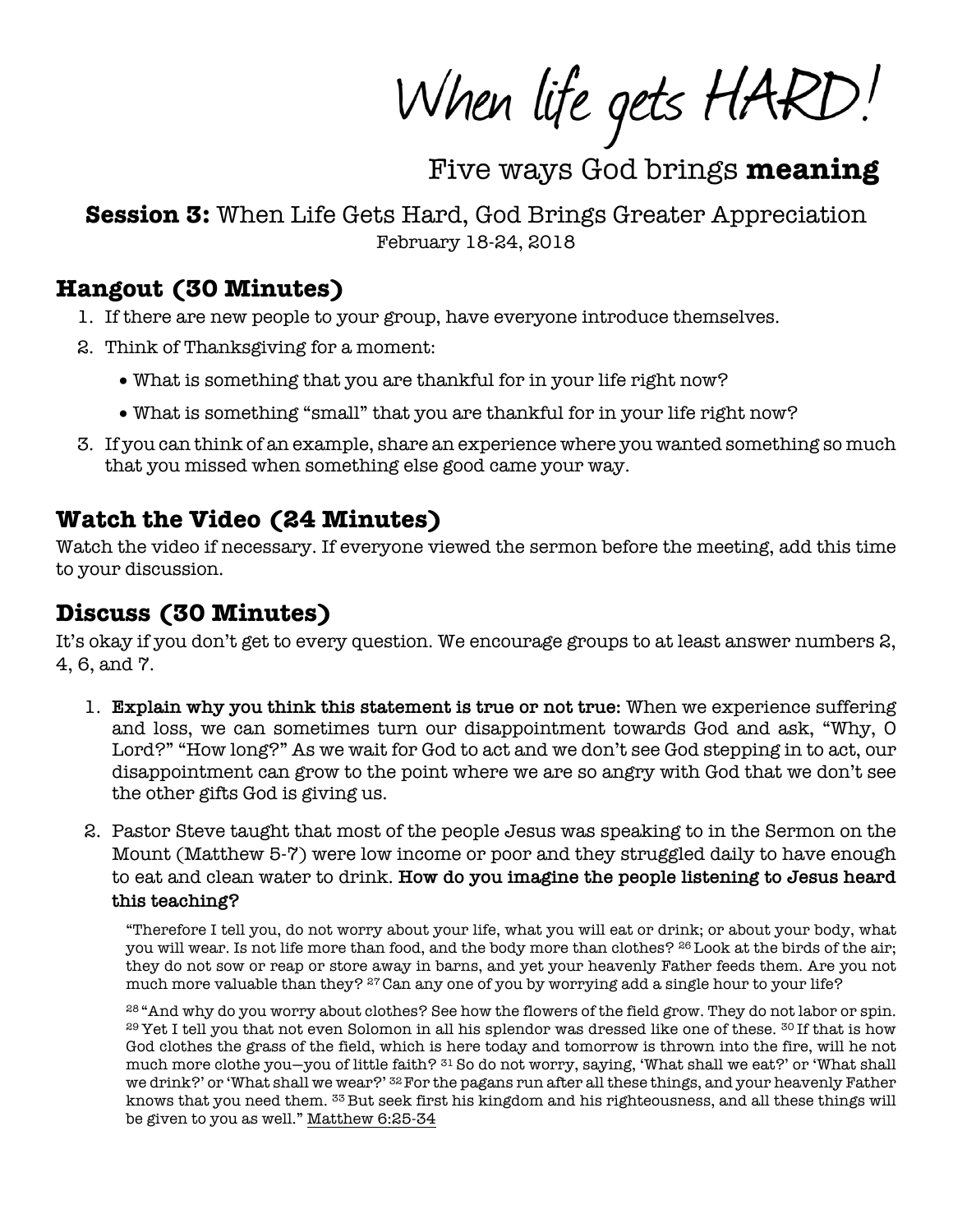When life gets HARD!

Five ways God brings meaning

**Session 3:** When Life Gets Hard, God Brings Greater Appreciation February 18-24, 2018

#### **Hangout (30 Minutes)**

- 1. If there are new people to your group, have everyone introduce themselves.
- 2. Think of Thanksgiving for a moment:
	- What is something that you are thankful for in your life right now?
	- What is something "small" that you are thankful for in your life right now?
- 3. If you can think of an example, share an experience where you wanted something so much that you missed when something else good came your way.

## **Watch the Video (24 Minutes)**

Watch the video if necessary. If everyone viewed the sermon before the meeting, add this time to your discussion.

### **Discuss (30 Minutes)**

It's okay if you don't get to every question. We encourage groups to at least answer numbers 2, 4, 6, and 7.

- 1. **Explain why you think this statement is true or not true:** When we experience suffering and loss, we can sometimes turn our disappointment towards God and ask, "Why, O Lord?" "How long?" As we wait for God to act and we don't see God stepping in to act, our disappointment can grow to the point where we are so angry with God that we don't see the other gifts God is giving us.
- 2. Pastor Steve taught that most of the people Jesus was speaking to in the Sermon on the Mount (Matthew 5-7) were low income or poor and they struggled daily to have enough to eat and clean water to drink. **How do you imagine the people listening to Jesus heard this teaching?**

"Therefore I tell you, do not worry about your life, what you will eat or drink; or about your body, what you will wear. Is not life more than food, and the body more than clothes? <sup>26</sup> Look at the birds of the air; they do not sow or reap or store away in barns, and yet your heavenly Father feeds them. Are you not much more valuable than they? 27 Can any one of you by worrying add a single hour to your life?

28 "And why do you worry about clothes? See how the flowers of the field grow. They do not labor or spin. <sup>29</sup> Yet I tell you that not even Solomon in all his splendor was dressed like one of these. <sup>30</sup> If that is how God clothes the grass of the field, which is here today and tomorrow is thrown into the fire, will he not much more clothe you—you of little faith? 31 So do not worry, saying, 'What shall we eat?' or 'What shall we drink?' or 'What shall we wear?' <sup>32</sup> For the pagans run after all these things, and your heavenly Father knows that you need them. 33 But seek first his kingdom and his righteousness, and all these things will be given to you as well." Matthew 6:25-34